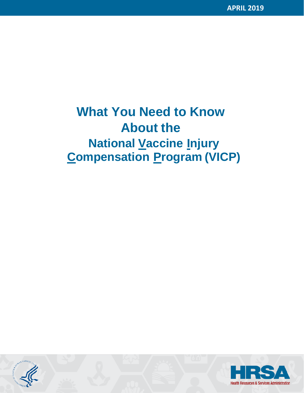# **What You Need to Know About the National Vaccine Injury Compensation Program (VICP)**



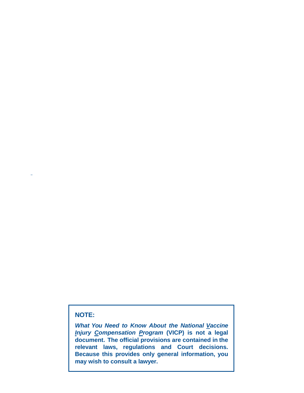# **NOTE:**

*What You Need to Know About the National Vaccine Injury Compensation Program* **(VICP) is not a legal document. The official provisions are contained in the relevant laws, regulations and Court decisions. Because this provides only general information, you may wish to consult a lawyer.**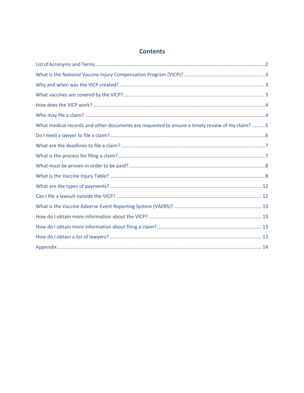# **Contents**

| What medical records and other documents are requested to ensure a timely review of my claim? 5 |
|-------------------------------------------------------------------------------------------------|
|                                                                                                 |
|                                                                                                 |
|                                                                                                 |
|                                                                                                 |
|                                                                                                 |
|                                                                                                 |
|                                                                                                 |
|                                                                                                 |
|                                                                                                 |
|                                                                                                 |
|                                                                                                 |
|                                                                                                 |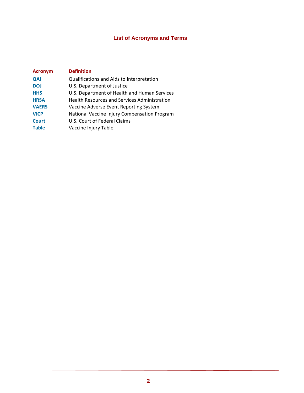# **List of Acronyms and Terms**

<span id="page-3-0"></span>

| <b>Acronym</b> | <b>Definition</b>                                   |
|----------------|-----------------------------------------------------|
| <b>QAI</b>     | Qualifications and Aids to Interpretation           |
| <b>DOJ</b>     | U.S. Department of Justice                          |
| <b>HHS</b>     | U.S. Department of Health and Human Services        |
| <b>HRSA</b>    | <b>Health Resources and Services Administration</b> |
| <b>VAERS</b>   | Vaccine Adverse Event Reporting System              |
| <b>VICP</b>    | National Vaccine Injury Compensation Program        |
| <b>Court</b>   | U.S. Court of Federal Claims                        |
| <b>Table</b>   | Vaccine Injury Table                                |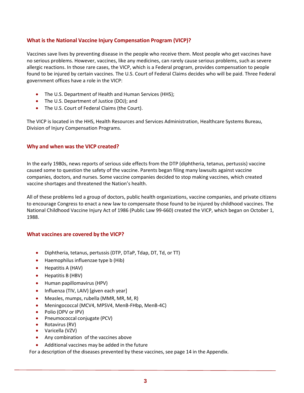# <span id="page-4-0"></span>**What is the National Vaccine Injury Compensation Program (VICP)?**

Vaccines save lives by preventing disease in the people who receive them. Most people who get vaccines have no serious problems. However, vaccines, like any medicines, can rarely cause serious problems, such as severe allergic reactions. In those rare cases, the VICP, which is a Federal program, provides compensation to people found to be injured by certain vaccines. The U.S. Court of Federal Claims decides who will be paid. Three Federal government offices have a role in the VICP:

- The U.S. Department of Health and Human Services (HHS);
- The U.S. Department of Justice (DOJ); and
- <span id="page-4-1"></span>• The U.S. Court of Federal Claims (the Court).

The VICP is located in the HHS, Health Resources and Services Administration, Healthcare Systems Bureau, Division of Injury Compensation Programs.

# **Why and when was the VICP created?**

In the early 1980s, news reports of serious side effects from the DTP (diphtheria, tetanus, pertussis) vaccine caused some to question the safety of the vaccine. Parents began filing many lawsuits against vaccine companies, doctors, and nurses. Some vaccine companies decided to stop making vaccines, which created vaccine shortages and threatened the Nation's health.

All of these problems led a group of doctors, public health organizations, vaccine companies, and private citizens to encourage Congress to enact a new law to compensate those found to be injured by childhood vaccines. The National Childhood Vaccine Injury Act of 1986 (Public Law 99-660) created the VICP, which began on October 1, 1988.

#### <span id="page-4-2"></span>**What vaccines are covered by the VICP?**

- Diphtheria, tetanus, pertussis (DTP, DTaP, Tdap, DT, Td, or TT)
- Haemophilus influenzae type b (Hib)
- Hepatitis A (HAV)
- Hepatitis B (HBV)
- Human papillomavirus (HPV)
- Influenza (TIV, LAIV) [given each year]
- Measles, mumps, rubella (MMR, MR, M, R)
- Meningococcal (MCV4, MPSV4, MenB-FHbp, MenB-4C)
- Polio (OPV or IPV)
- Pneumococcal conjugate (PCV)
- Rotavirus (RV)
- Varicella (VZV)
- Any combination of the vaccines above
- Additional vaccines may be added in the future

For a description of the diseases prevented by these vaccines, see page 14 in the Appendix.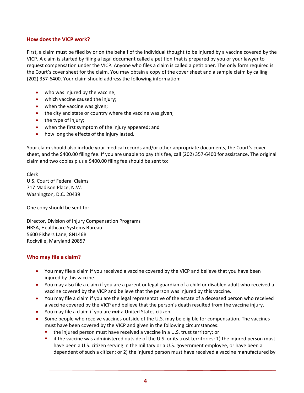## <span id="page-5-0"></span>**How does the VICP work?**

First, a claim must be filed by or on the behalf of the individual thought to be injured by a vaccine covered by the VICP. A claim is started by filing a legal document called a petition that is prepared by you or your lawyer to request compensation under the VICP. Anyone who files a claim is called a petitioner. The only form required is the Court's cover sheet for the claim. You may obtain a copy of the cover sheet and a sample claim by calling (202) 357-6400. Your claim should address the following information:

- who was injured by the vaccine;
- which vaccine caused the injury;
- when the vaccine was given;
- the city and state or country where the vaccine was given;
- the type of injury;
- when the first symptom of the injury appeared; and
- how long the effects of the injury lasted.

Your claim should also include your medical records and/or other appropriate documents, the Court's cover sheet, and the \$400.00 filing fee. If you are unable to pay this fee, call (202) 357-6400 for assistance. The original claim and two copies plus a \$400.00 filing fee should be sent to:

Clerk U.S. Court of Federal Claims 717 Madison Place, N.W. Washington, D.C. 20439

One copy should be sent to:

Director, Division of Injury Compensation Programs HRSA, Healthcare Systems Bureau 5600 Fishers Lane, 8N146B Rockville, Maryland 20857

#### **Who may file a claim?**

- <span id="page-5-1"></span>• You may file a claim if you received a vaccine covered by the VICP and believe that you have been injured by this vaccine.
- You may also file a claim if you are a parent or legal guardian of a child or disabled adult who received a vaccine covered by the VICP and believe that the person was injured by this vaccine.
- You may file a claim if you are the legal representative of the estate of a deceased person who received a vaccine covered by the VICP and believe that the person's death resulted from the vaccine injury.
- You may file a claim if you are *not* a United States citizen.
- Some people who receive vaccines outside of the U.S. may be eligible for compensation. The vaccines must have been covered by the VICP and given in the following circumstances:
	- the injured person must have received a vaccine in a U.S. trust territory; or
	- if the vaccine was administered outside of the U.S. or its trust territories: 1) the injured person must have been a U.S. citizen serving in the military or a U.S. government employee, or have been a dependent of such a citizen; or 2) the injured person must have received a vaccine manufactured by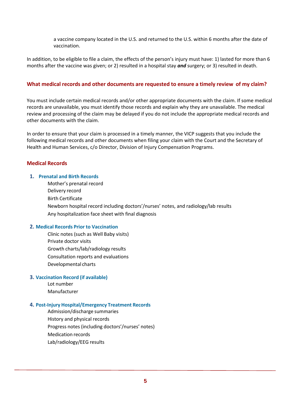<span id="page-6-0"></span>a vaccine company located in the U.S. and returned to the U.S. within 6 months after the date of vaccination.

In addition, to be eligible to file a claim, the effects of the person's injury must have: 1) lasted for more than 6 months after the vaccine was given; or 2) resulted in a hospital stay *and* surgery; or 3) resulted in death.

#### **What medical records and other documents are requested to ensure a timely review of my claim?**

You must include certain medical records and/or other appropriate documents with the claim. If some medical records are unavailable, you must identify those records and explain why they are unavailable. The medical review and processing of the claim may be delayed if you do not include the appropriate medical records and other documents with the claim.

In order to ensure that your claim is processed in a timely manner, the VICP suggests that you include the following medical records and other documents when filing your claim with the Court and the Secretary of Health and Human Services, c/o Director, Division of Injury Compensation Programs.

#### **Medical Records**

#### **1. Prenatal and Birth Records**

Mother's prenatal record Delivery record Birth Certificate Newborn hospital record including doctors'/nurses' notes, and radiology/lab results Any hospitalization face sheet with final diagnosis

#### **2. Medical Records Prior to Vaccination**

Clinic notes (such as Well Baby visits) Private doctor visits Growth charts/lab/radiology results Consultation reports and evaluations Developmental charts

#### **3. Vaccination Record (if available)**

Lot number Manufacturer

#### **4. Post-Injury Hospital/Emergency Treatment Records**

Admission/discharge summaries History and physical records Progress notes (including doctors'/nurses' notes) Medication records Lab/radiology/EEG results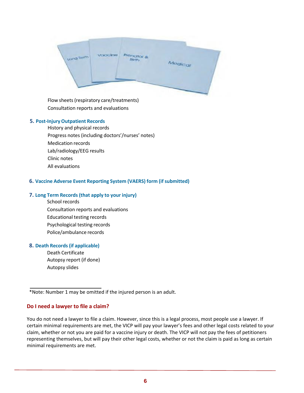

Flow sheets(respiratory care/treatments) Consultation reports and evaluations

#### **5. Post-Injury Outpatient Records**

History and physical records Progress notes (including doctors'/nurses' notes) Medication records Lab/radiology/EEG results Clinic notes All evaluations

#### **6. Vaccine Adverse Event Reporting System (VAERS) form (if submitted)**

#### **7. Long Term Records(that apply to your injury)**

School records Consultation reports and evaluations Educational testing records Psychological testing records Police/ambulance records

#### **8. Death Records(if applicable)**

Death Certificate Autopsy report (if done) Autopsy slides

#### **Do I need a lawyer to file a claim?**

You do not need a lawyer to file a claim. However, since this is a legal process, most people use a lawyer. If certain minimal requirements are met, the VICP will pay your lawyer's fees and other legal costs related to your claim, whether or not you are paid for a vaccine injury or death. The VICP will not pay the fees of petitioners representing themselves, but will pay their other legal costs, whether or not the claim is paid as long as certain minimal requirements are met.

<span id="page-7-0"></span><sup>\*</sup>Note: Number 1 may be omitted if the injured person is an adult.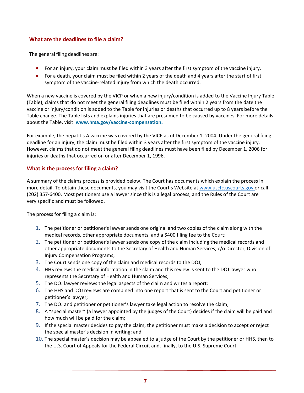# <span id="page-8-0"></span>**What are the deadlines to file a claim?**

The general filing deadlines are:

- For an injury, your claim must be filed within 3 years after the first symptom of the vaccine injury.
- For a death, your claim must be filed within 2 years of the death and 4 years after the start of first symptom of the vaccine-related injury from which the death occurred.

When a new vaccine is covered by the VICP or when a new injury/condition is added to the Vaccine Injury Table (Table), claims that do not meet the general filing deadlines must be filed within 2 years from the date the vaccine or injury/condition is added to the Table for injuries or deaths that occurred up to 8 years before the Table change. The Table lists and explains injuries that are presumed to be caused by vaccines. For more details about the Table, visit **[www.hrsa.gov/vaccine](http://www.hrsa.gov/vaccinecompensation)-compensation.** 

For example, the hepatitis A vaccine was covered by the VICP as of December 1, 2004. Under the general filing deadline for an injury, the claim must be filed within 3 years after the first symptom of the vaccine injury. However, claims that do not meet the general filing deadlines must have been filed by December 1, 2006 for injuries or deaths that occurred on or after December 1, 1996.

# <span id="page-8-1"></span>**What is the process for filing a claim?**

A summary of the claims process is provided below. The Court has documents which explain the process in more detail. To obtain these documents, you may visit the Court's Website at [www.uscfc.uscourts.gov o](http://www.uscfc.uscourts.gov/)r call (202) 357-6400. Most petitioners use a lawyer since this is a legal process, and the Rules of the Court are very specific and must be followed.

The process for filing a claim is:

- 1. The petitioner or petitioner's lawyer sends one original and two copies of the claim along with the medical records, other appropriate documents, and a \$400 filing fee to the Court;
- 2. The petitioner or petitioner's lawyer sends one copy of the claim including the medical records and other appropriate documents to the Secretary of Health and Human Services, c/o Director, Division of Injury Compensation Programs;
- 3. The Court sends one copy of the claim and medical records to the DOJ;
- 4. HHS reviews the medical information in the claim and this review is sent to the DOJ lawyer who represents the Secretary of Health and Human Services;
- 5. The DOJ lawyer reviews the legal aspects of the claim and writes a report;
- 6. The HHS and DOJ reviews are combined into one report that is sent to the Court and petitioner or petitioner's lawyer;
- 7. The DOJ and petitioner or petitioner's lawyer take legal action to resolve the claim;
- 8. A "special master" (a lawyer appointed by the judges of the Court) decides if the claim will be paid and how much will be paid for the claim;
- 9. If the special master decides to pay the claim, the petitioner must make a decision to accept or reject the special master's decision in writing; and
- 10. The special master's decision may be appealed to a judge of the Court by the petitioner or HHS, then to the U.S. Court of Appeals for the Federal Circuit and, finally, to the U.S. Supreme Court.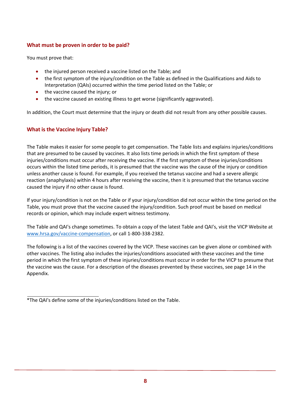# <span id="page-9-0"></span>**What must be proven in order to be paid?**

You must prove that:

- the injured person received a vaccine listed on the Table; and
- the first symptom of the injury/condition on the Table as defined in the Qualifications and Aids to Interpretation (QAIs) occurred within the time period listed on the Table; or
- the vaccine caused the injury; or
- the vaccine caused an existing illness to get worse (significantly aggravated).

In addition, the Court must determine that the injury or death did not result from any other possible causes.

# <span id="page-9-1"></span>**What is the Vaccine Injury Table?**

The Table makes it easier for some people to get compensation. The Table lists and explains injuries/conditions that are presumed to be caused by vaccines. It also lists time periods in which the first symptom of these injuries/conditions must occur after receiving the vaccine. If the first symptom of these injuries/conditions occurs within the listed time periods, it is presumed that the vaccine was the cause of the injury or condition unless another cause is found. For example, if you received the tetanus vaccine and had a severe allergic reaction (anaphylaxis) within 4 hours after receiving the vaccine, then it is presumed that the tetanus vaccine caused the injury if no other cause is found.

If your injury/condition is not on the Table or if your injury/condition did not occur within the time period on the Table, you must prove that the vaccine caused the injury/condition. Such proof must be based on medical records or opinion, which may include expert witness testimony.

The Table and QAI's change sometimes. To obtain a copy of the latest Table and QAI's, visit the VICP Website at www.hrsa.gov/vaccine-compensation, or call 1-800-338-2382.

The following is a list of the vaccines covered by the VICP. These vaccines can be given alone or combined with other vaccines. The listing also includes the injuries/conditions associated with these vaccines and the time period in which the first symptom of these injuries/conditions must occur in order for the VICP to presume that the vaccine was the cause. For a description of the diseases prevented by these vaccines, see page 14 in the Appendix.

<sup>\*</sup>The QAI's define some of the injuries/conditions listed on the Table.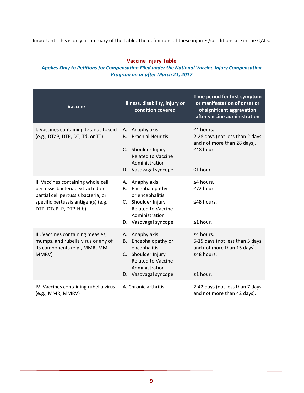Important: This is only a summary of the Table. The definitions of these injuries/conditions are in the QAI's.

#### **Vaccine Injury Table**

# *Applies Only to Petitions for Compensation Filed under the National Vaccine Injury Compensation Program on or after March 21, 2017*

| <b>Vaccine</b>                                                                                                                                                                  | Illness, disability, injury or<br>condition covered                                                                                                              | Time period for first symptom<br>or manifestation of onset or<br>of significant aggravation<br>after vaccine administration |
|---------------------------------------------------------------------------------------------------------------------------------------------------------------------------------|------------------------------------------------------------------------------------------------------------------------------------------------------------------|-----------------------------------------------------------------------------------------------------------------------------|
| I. Vaccines containing tetanus toxoid<br>(e.g., DTaP, DTP, DT, Td, or TT)                                                                                                       | Anaphylaxis<br>А.<br><b>Brachial Neuritis</b><br><b>B.</b><br>C. Shoulder Injury<br><b>Related to Vaccine</b><br>Administration<br>D. Vasovagal syncope          | $\leq$ 4 hours.<br>2-28 days (not less than 2 days<br>and not more than 28 days).<br>≤48 hours.<br>≤1 hour.                 |
| II. Vaccines containing whole cell<br>pertussis bacteria, extracted or<br>partial cell pertussis bacteria, or<br>specific pertussis antigen(s) (e.g.,<br>DTP, DTaP, P, DTP-Hib) | Anaphylaxis<br>А.<br>Encephalopathy<br><b>B.</b><br>or encephalitis<br>C. Shoulder Injury<br><b>Related to Vaccine</b><br>Administration<br>D. Vasovagal syncope | $\leq$ 4 hours.<br>≤72 hours.<br>≤48 hours.<br>≤1 hour.                                                                     |
| III. Vaccines containing measles,<br>mumps, and rubella virus or any of<br>its components (e.g., MMR, MM,<br>MMRV)                                                              | Anaphylaxis<br>А.<br>Encephalopathy or<br>B.<br>encephalitis<br>C. Shoulder Injury<br><b>Related to Vaccine</b><br>Administration<br>D. Vasovagal syncope        | ≤4 hours.<br>5-15 days (not less than 5 days<br>and not more than 15 days).<br>≤48 hours.<br>$\leq 1$ hour.                 |
| IV. Vaccines containing rubella virus<br>(e.g., MMR, MMRV)                                                                                                                      | A. Chronic arthritis                                                                                                                                             | 7-42 days (not less than 7 days<br>and not more than 42 days).                                                              |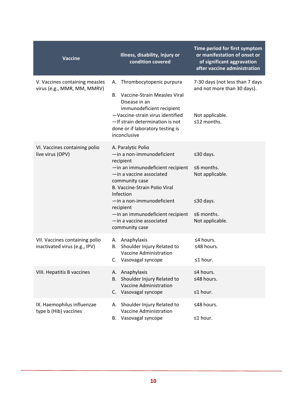| <b>Vaccine</b>                                                  | Illness, disability, injury or<br>condition covered                                                                                                                                                                                                                                                                      | Time period for first symptom<br>or manifestation of onset or<br>of significant aggravation<br>after vaccine administration |
|-----------------------------------------------------------------|--------------------------------------------------------------------------------------------------------------------------------------------------------------------------------------------------------------------------------------------------------------------------------------------------------------------------|-----------------------------------------------------------------------------------------------------------------------------|
| V. Vaccines containing measles<br>virus (e.g., MMR, MM, MMRV)   | A. Thrombocytopenic purpura<br>Vaccine-Strain Measles Viral<br>В.<br>Disease in an<br>immunodeficient recipient<br>-Vaccine-strain virus identified<br>-If strain determination is not<br>done or if laboratory testing is<br>inconclusive                                                                               | 7-30 days (not less than 7 days<br>and not more than 30 days).<br>Not applicable.<br>≤12 months.                            |
| VI. Vaccines containing polio<br>live virus (OPV)               | A. Paralytic Polio<br>-in a non-immunodeficient<br>recipient<br>-in an immunodeficient recipient<br>-in a vaccine associated<br>community case<br>B. Vaccine-Strain Polio Viral<br>Infection<br>-in a non-immunodeficient<br>recipient<br>-in an immunodeficient recipient<br>-in a vaccine associated<br>community case | $\leq$ 30 days.<br>$\leq$ 6 months.<br>Not applicable.<br>$\leq$ 30 days.<br>$\leq$ 6 months.<br>Not applicable.            |
| VII. Vaccines containing polio<br>inactivated virus (e.g., IPV) | A. Anaphylaxis<br>Shoulder Injury Related to<br>В.<br>Vaccine Administration<br>Vasovagal syncope<br>C.                                                                                                                                                                                                                  | $\leq$ 4 hours.<br>≤48 hours.<br>$\leq 1$ hour.                                                                             |
| VIII. Hepatitis B vaccines                                      | Anaphylaxis<br>А.<br>Shoulder Injury Related to<br>В.<br>Vaccine Administration<br>C. Vasovagal syncope                                                                                                                                                                                                                  | ≤4 hours.<br>≤48 hours.<br>$\leq 1$ hour.                                                                                   |
| IX. Haemophilus influenzae<br>type b (Hib) vaccines             | Shoulder Injury Related to<br>А.<br>Vaccine Administration<br>Vasovagal syncope<br>В.                                                                                                                                                                                                                                    | ≤48 hours.<br>≤1 hour.                                                                                                      |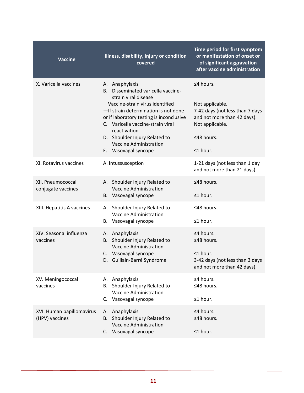| <b>Vaccine</b>                              | Illness, disability, injury or condition<br>covered                                                                                                                                                                                                                                                                                             | Time period for first symptom<br>or manifestation of onset or<br>of significant aggravation<br>after vaccine administration                       |
|---------------------------------------------|-------------------------------------------------------------------------------------------------------------------------------------------------------------------------------------------------------------------------------------------------------------------------------------------------------------------------------------------------|---------------------------------------------------------------------------------------------------------------------------------------------------|
| X. Varicella vaccines                       | A. Anaphylaxis<br>Disseminated varicella vaccine-<br>В.<br>strain viral disease<br>-Vaccine-strain virus identified<br>-If strain determination is not done<br>or if laboratory testing is inconclusive<br>C. Varicella vaccine-strain viral<br>reactivation<br>D. Shoulder Injury Related to<br>Vaccine Administration<br>E. Vasovagal syncope | $\leq$ 4 hours.<br>Not applicable.<br>7-42 days (not less than 7 days<br>and not more than 42 days).<br>Not applicable.<br>≤48 hours.<br>≤1 hour. |
| XI. Rotavirus vaccines                      | A. Intussusception                                                                                                                                                                                                                                                                                                                              | 1-21 days (not less than 1 day<br>and not more than 21 days).                                                                                     |
| XII. Pneumococcal<br>conjugate vaccines     | A. Shoulder Injury Related to<br>Vaccine Administration<br>B. Vasovagal syncope                                                                                                                                                                                                                                                                 | ≤48 hours.<br>$\leq 1$ hour.                                                                                                                      |
| XIII. Hepatitis A vaccines                  | A. Shoulder Injury Related to<br>Vaccine Administration<br>B. Vasovagal syncope                                                                                                                                                                                                                                                                 | ≤48 hours.<br>≤1 hour.                                                                                                                            |
| XIV. Seasonal influenza<br>vaccines         | A. Anaphylaxis<br>Shoulder Injury Related to<br>В.<br><b>Vaccine Administration</b><br>C. Vasovagal syncope<br>D. Guillain-Barré Syndrome                                                                                                                                                                                                       | $\leq$ 4 hours.<br>$≤48$ hours.<br>$\leq 1$ hour.<br>3-42 days (not less than 3 days<br>and not more than 42 days).                               |
| XV. Meningococcal<br>vaccines               | A. Anaphylaxis<br>Shoulder Injury Related to<br>В.<br>Vaccine Administration<br>C. Vasovagal syncope                                                                                                                                                                                                                                            | ≤4 hours.<br>≤48 hours.<br>$\leq 1$ hour.                                                                                                         |
| XVI. Human papillomavirus<br>(HPV) vaccines | A. Anaphylaxis<br>Shoulder Injury Related to<br>В.<br>Vaccine Administration<br>Vasovagal syncope<br>C.                                                                                                                                                                                                                                         | $\leq$ 4 hours.<br>≤48 hours.<br>$\leq 1$ hour.                                                                                                   |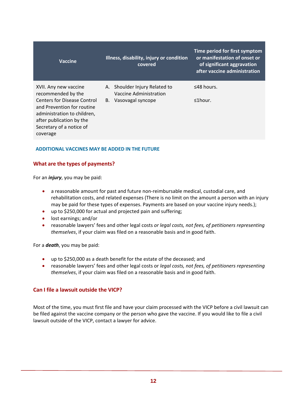<span id="page-13-2"></span>

| Vaccine                                                                                                                                                      | Illness, disability, injury or condition<br>covered     | Time period for first symptom<br>or manifestation of onset or<br>of significant aggravation<br>after vaccine administration |
|--------------------------------------------------------------------------------------------------------------------------------------------------------------|---------------------------------------------------------|-----------------------------------------------------------------------------------------------------------------------------|
| XVII. Any new vaccine<br>recommended by the                                                                                                                  | A. Shoulder Injury Related to<br>Vaccine Administration | $\leq$ 48 hours.                                                                                                            |
| Centers for Disease Control<br>and Prevention for routine<br>administration to children,<br>after publication by the<br>Secretary of a notice of<br>coverage | B. Vasovagal syncope                                    | $≤1$ hour.                                                                                                                  |

## <span id="page-13-1"></span>**ADDITIONAL VACCINES MAY BE ADDED IN THE FUTURE**

## **What are the types of payments?**

For an *injury*, you may be paid:

- a reasonable amount for past and future non-reimbursable medical, custodial care, and rehabilitation costs, and related expenses (There is no limit on the amount a person with an injury may be paid for these types of expenses. Payments are based on your vaccine injury needs.);
- up to \$250,000 for actual and projected pain and suffering;
- lost earnings; and/or
- reasonable lawyers' fees and other legal costs *or legal costs, not fees, of petitioners representing themselves*, if your claim was filed on a reasonable basis and in good faith.

For a *death*, you may be paid:

- up to \$250,000 as a death benefit for the estate of the deceased; and
- reasonable lawyers' fees and other legal costs or *legal costs, not fees, of petitioners representing themselves*, if your claim was filed on a reasonable basis and in good faith.

#### <span id="page-13-0"></span>**Can I file a lawsuit outside the VICP?**

Most of the time, you must first file and have your claim processed with the VICP before a civil lawsuit can be filed against the vaccine company or the person who gave the vaccine. If you would like to file a civil lawsuit outside of the VICP, contact a lawyer for advice.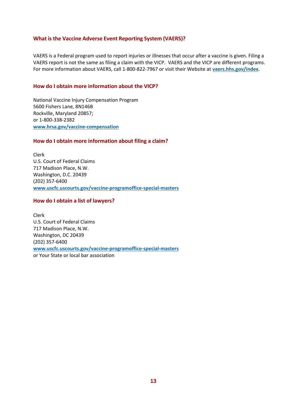## <span id="page-14-0"></span>**What is the Vaccine Adverse Event Reporting System (VAERS)?**

VAERS is a Federal program used to report injuries or illnesses that occur after a vaccine is given. Filing a VAERS report is not the same as filing a claim with the VICP. VAERS and the VICP are different programs. For more information about VAERS, call 1-800-822-7967 or visit their Website at **[vaers.hhs.gov/index](https://vaers.hhs.gov/index.html)**.

#### <span id="page-14-1"></span>**How do I obtain more information about the VICP?**

National Vaccine Injury Compensation Program 5600 Fishers Lane, 8N146B Rockville, Maryland 20857; or 1-800-338-2382 **[www.hrsa.gov/vaccine](http://www.hrsa.gov/vaccinecompensation)-compensation**

#### **How do I obtain more information about filing a claim?**

Clerk U.S. Court of Federal Claims 717 Madison Place, N.W. Washington, D.C. 20439 (202) 357-6400 **[www.uscfc.uscourts.gov/vaccine-programoffice-special-masters](http://www.uscfc.uscourts.gov/vaccine-programoffice-special-masters)**

#### <span id="page-14-2"></span>**How do I obtain a list of lawyers?**

Clerk U.S. Court of Federal Claims 717 Madison Place, N.W. Washington, DC 20439 (202) 357-6400 **[www.uscfc.uscourts.gov/vaccine-programoffice-special-masters](http://www.uscfc.uscourts.gov/vaccine-programoffice-special-masters)** or Your State or local bar association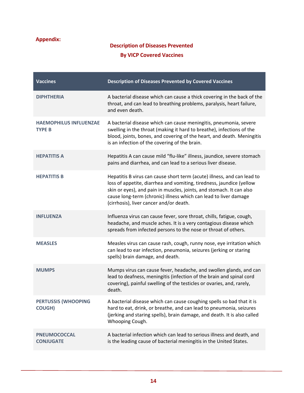# <span id="page-15-0"></span>**Appendix:**

# **Description of Diseases Prevented By VICP Covered Vaccines**

| <b>Vaccines</b>                                | <b>Description of Diseases Prevented by Covered Vaccines</b>                                                                                                                                                                                                                                                                           |
|------------------------------------------------|----------------------------------------------------------------------------------------------------------------------------------------------------------------------------------------------------------------------------------------------------------------------------------------------------------------------------------------|
| <b>DIPHTHERIA</b>                              | A bacterial disease which can cause a thick covering in the back of the<br>throat, and can lead to breathing problems, paralysis, heart failure,<br>and even death.                                                                                                                                                                    |
| <b>HAEMOPHILUS INFLUENZAE</b><br><b>TYPE B</b> | A bacterial disease which can cause meningitis, pneumonia, severe<br>swelling in the throat (making it hard to breathe), infections of the<br>blood, joints, bones, and covering of the heart, and death. Meningitis<br>is an infection of the covering of the brain.                                                                  |
| <b>HEPATITIS A</b>                             | Hepatitis A can cause mild "flu-like" illness, jaundice, severe stomach<br>pains and diarrhea, and can lead to a serious liver disease.                                                                                                                                                                                                |
| <b>HEPATITIS B</b>                             | Hepatitis B virus can cause short term (acute) illness, and can lead to<br>loss of appetite, diarrhea and vomiting, tiredness, jaundice (yellow<br>skin or eyes), and pain in muscles, joints, and stomach. It can also<br>cause long-term (chronic) illness which can lead to liver damage<br>(cirrhosis), liver cancer and/or death. |
| <b>INFLUENZA</b>                               | Influenza virus can cause fever, sore throat, chills, fatigue, cough,<br>headache, and muscle aches. It is a very contagious disease which<br>spreads from infected persons to the nose or throat of others.                                                                                                                           |
| <b>MEASLES</b>                                 | Measles virus can cause rash, cough, runny nose, eye irritation which<br>can lead to ear infection, pneumonia, seizures (jerking or staring<br>spells) brain damage, and death.                                                                                                                                                        |
| <b>MUMPS</b>                                   | Mumps virus can cause fever, headache, and swollen glands, and can<br>lead to deafness, meningitis (infection of the brain and spinal cord<br>covering), painful swelling of the testicles or ovaries, and, rarely,<br>death.                                                                                                          |
| <b>PERTUSSIS (WHOOPING</b><br><b>COUGH)</b>    | A bacterial disease which can cause coughing spells so bad that it is<br>hard to eat, drink, or breathe, and can lead to pneumonia, seizures<br>(jerking and staring spells), brain damage, and death. It is also called<br>Whooping Cough.                                                                                            |
| <b>PNEUMOCOCCAL</b><br><b>CONJUGATE</b>        | A bacterial infection which can lead to serious illness and death, and<br>is the leading cause of bacterial meningitis in the United States.                                                                                                                                                                                           |